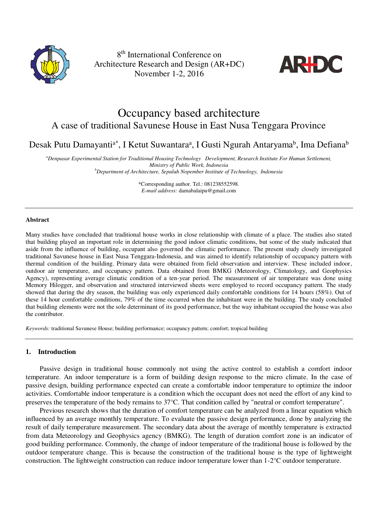

8 th International Conference on Architecture Research and Design (AR+DC) November 1-2, 2016



# Occupancy based architecture A case of traditional Savunese House in East Nusa Tenggara Province

Desak Putu Damayanti<sup>a\*</sup>, I Ketut Suwantaraª, I Gusti Ngurah Antaryama<sup>b</sup>, Ima Defiana<sup>b</sup>

*<sup>a</sup>Denpasar Experimental Station for Traditional Housing Technology Development, Research Institute For Human Settlement, Ministry of Public Work, Indonesia* 

*<sup>b</sup>Department of Architecture, Sepuluh Nopember Institute of Technology, Indonesia* 

\*Corresponding author. Tel.: 081238552598. *E-mail address:* damabalaipu@gmail.com

### **Abstract**

Many studies have concluded that traditional house works in close relationship with climate of a place. The studies also stated that building played an important role in determining the good indoor climatic conditions, but some of the study indicated that aside from the influence of building, occupant also governed the climatic performance. The present study closely investigated traditional Savunese house in East Nusa Tenggara-Indonesia, and was aimed to identify relationship of occupancy pattern with thermal condition of the building. Primary data were obtained from field observation and interview. These included indoor, outdoor air temperature, and occupancy pattern. Data obtained from BMKG (Meteorology, Climatology, and Geophysics Agency), representing average climatic condition of a ten-year period. The measurement of air temperature was done using Memory Hilogger, and observation and structured interviewed sheets were employed to record occupancy pattern. The study showed that during the dry season, the building was only experienced daily comfortable conditions for 14 hours (58%). Out of these 14 hour comfortable conditions, 79% of the time occurred when the inhabitant were in the building. The study concluded that building elements were not the sole determinant of its good performance, but the way inhabitant occupied the house was also the contributor.

*Keywords:* traditional Savunese House; building performance; occupancy pattern; comfort; tropical building

## **1. Introduction**

Passive design in traditional house commonly not using the active control to establish a comfort indoor temperature. An indoor temperature is a form of building design response to the micro climate. In the case of passive design, building performance expected can create a comfortable indoor temperature to optimize the indoor activities. Comfortable indoor temperature is a condition which the occupant does not need the effort of any kind to preserves the temperature of the body remains to 37°C. That condition called by "neutral or comfort temperature".

Previous research shows that the duration of comfort temperature can be analyzed from a linear equation which influenced by an average monthly temperature. To evaluate the passive design performance, done by analyzing the result of daily temperature measurement. The secondary data about the average of monthly temperature is extracted from data Meteorology and Geophysics agency (BMKG). The length of duration comfort zone is an indicator of good building performance. Commonly, the change of indoor temperature of the traditional house is followed by the outdoor temperature change. This is because the construction of the traditional house is the type of lightweight construction. The lightweight construction can reduce indoor temperature lower than 1-2°C outdoor temperature.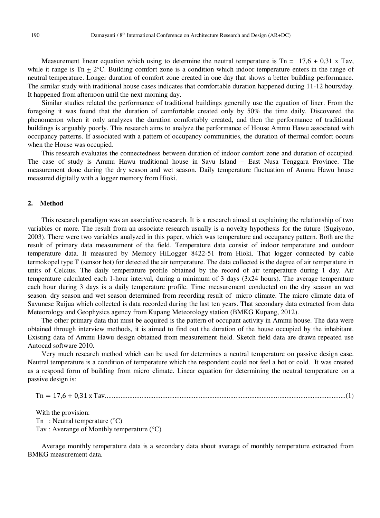Measurement linear equation which using to determine the neutral temperature is  $Tn = 17.6 + 0.31 \times Tav$ , while it range is Tn  $\pm 2^{\circ}$ C. Building comfort zone is a condition which indoor temperature enters in the range of neutral temperature. Longer duration of comfort zone created in one day that shows a better building performance. The similar study with traditional house cases indicates that comfortable duration happened during 11-12 hours/day. It happened from afternoon until the next morning day.

Similar studies related the performance of traditional buildings generally use the equation of liner. From the foregoing it was found that the duration of comfortable created only by 50% the time daily. Discovered the phenomenon when it only analyzes the duration comfortably created, and then the performance of traditional buildings is arguably poorly. This research aims to analyze the performance of House Ammu Hawu associated with occupancy patterns. If associated with a pattern of occupancy communities, the duration of thermal comfort occurs when the House was occupied.

This research evaluates the connectedness between duration of indoor comfort zone and duration of occupied. The case of study is Ammu Hawu traditional house in Savu Island – East Nusa Tenggara Province. The measurement done during the dry season and wet season. Daily temperature fluctuation of Ammu Hawu house measured digitally with a logger memory from Hioki.

### **2. Method**

This research paradigm was an associative research. It is a research aimed at explaining the relationship of two variables or more. The result from an associate research usually is a novelty hypothesis for the future (Sugiyono, 2003). There were two variables analyzed in this paper, which was temperature and occupancy pattern. Both are the result of primary data measurement of the field. Temperature data consist of indoor temperature and outdoor temperature data. It measured by Memory HiLogger 8422-51 from Hioki. That logger connected by cable termokopel type T (sensor hot) for detected the air temperature. The data collected is the degree of air temperature in units of Celcius. The daily temperature profile obtained by the record of air temperature during 1 day. Air temperature calculated each 1-hour interval, during a minimum of 3 days (3x24 hours). The average temperature each hour during 3 days is a daily temperature profile. Time measurement conducted on the dry season an wet season. dry season and wet season determined from recording result of micro climate. The micro climate data of Savunese Raijua which collected is data recorded during the last ten years. That secondary data extracted from data Meteorology and Geophysics agency from Kupang Meteorology station (BMKG Kupang, 2012).

The other primary data that must be acquired is the pattern of occupant activity in Ammu house. The data were obtained through interview methods, it is aimed to find out the duration of the house occupied by the inhabitant. Existing data of Ammu Hawu design obtained from measurement field. Sketch field data are drawn repeated use Autocad software 2010.

Very much research method which can be used for determines a neutral temperature on passive design case. Neutral temperature is a condition of temperature which the respondent could not feel a hot or cold. It was created as a respond form of building from micro climate. Linear equation for determining the neutral temperature on a passive design is:

Tn = 17,6 + 0,31 x Tav..........................................................................................................................................(1)

With the provision: Tn : Neutral temperature  $(^{\circ}C)$ Tav : Averange of Monthly temperature (°C)

Average monthly temperature data is a secondary data about average of monthly temperature extracted from BMKG measurement data.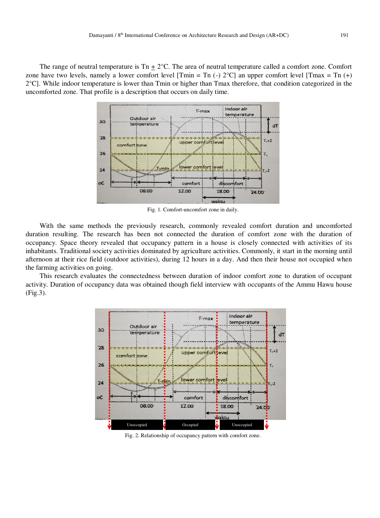The range of neutral temperature is  $T_n + 2^{\circ}C$ . The area of neutral temperature called a comfort zone. Comfort zone have two levels, namely a lower comfort level [Tmin = Tn  $(-)$  2°C] an upper comfort level [Tmax = Tn  $(+)$  $2^{\circ}$ C]. While indoor temperature is lower than Tmin or higher than Tmax therefore, that condition categorized in the uncomforted zone. That profile is a description that occurs on daily time.



Fig. 1. Comfort-uncomfort zone in daily.

With the same methods the previously research, commonly revealed comfort duration and uncomforted duration resulting. The research has been not connected the duration of comfort zone with the duration of occupancy. Space theory revealed that occupancy pattern in a house is closely connected with activities of its inhabitants. Traditional society activities dominated by agriculture activities. Commonly, it start in the morning until afternoon at their rice field (outdoor activities), during 12 hours in a day. And then their house not occupied when the farming activities on going.

This research evaluates the connectedness between duration of indoor comfort zone to duration of occupant activity. Duration of occupancy data was obtained though field interview with occupants of the Ammu Hawu house (Fig.3).



Fig. 2. Relationship of occupancy pattern with comfort zone.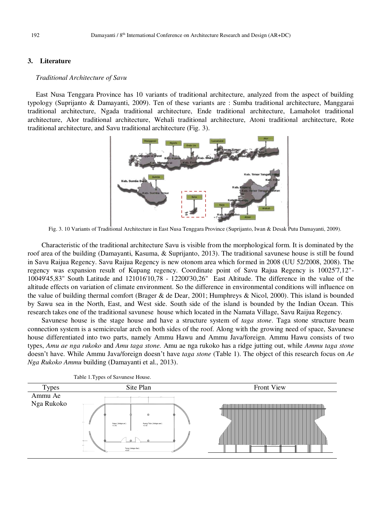# **3. Literature**

### *Traditional Architecture of Savu*

East Nusa Tenggara Province has 10 variants of traditional architecture, analyzed from the aspect of building typology (Suprijanto & Damayanti, 2009). Ten of these variants are : Sumba traditional architecture, Manggarai traditional architecture, Ngada traditional architecture, Ende traditional architecture, Lamaholot traditional architecture, Alor traditional architecture, Wehali traditional architecture, Atoni traditional architecture, Rote traditional architecture, and Savu traditional architecture (Fig. 3).



Fig. 3. 10 Variants of Traditional Architecture in East Nusa Tenggara Province (Suprijanto, Iwan & Desak Putu Damayanti, 2009).

Characteristic of the traditional architecture Savu is visible from the morphological form. It is dominated by the roof area of the building (Damayanti, Kasuma, & Suprijanto, 2013). The traditional savunese house is still be found in Savu Raijua Regency. Savu Raijua Regency is new otonom area which formed in 2008 (UU 52/2008, 2008). The regency was expansion result of Kupang regency. Coordinate point of Savu Rajua Regency is 10025'7,12"- 10049'45,83" South Latitude and 121016'10,78 - 12200'30,26" East Altitude. The difference in the value of the altitude effects on variation of climate environment. So the difference in environmental conditions will influence on the value of building thermal comfort (Brager & de Dear, 2001; Humphreys & Nicol, 2000). This island is bounded by Sawu sea in the North, East, and West side. South side of the island is bounded by the Indian Ocean. This research takes one of the traditional savunese house which located in the Namata Village, Savu Raijua Regency.

Savunese house is the stage house and have a structure system of *taga stone*. Taga stone structure beam connection system is a semicircular arch on both sides of the roof. Along with the growing need of space, Savunese house differentiated into two parts, namely Ammu Hawu and Ammu Java/foreign. Ammu Hawu consists of two types, *Amu ae nga rukoko* and *Amu taga stone.* Amu ae nga rukoko has a ridge jutting out, while *Ammu taga stone* doesn't have. While Ammu Java/foreign doesn't have *taga stone* (Table 1). The object of this research focus on *Ae Nga Rukoko Ammu* building (Damayanti et al., 2013).



Table 1.Types of Savunese House.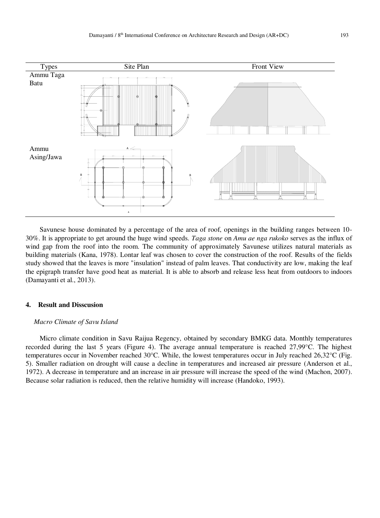

Savunese house dominated by a percentage of the area of roof, openings in the building ranges between 10- 30%. It is appropriate to get around the huge wind speeds. *Taga stone* on *Amu ae nga rukoko* serves as the influx of wind gap from the roof into the room. The community of approximately Savunese utilizes natural materials as building materials (Kana, 1978). Lontar leaf was chosen to cover the construction of the roof. Results of the fields study showed that the leaves is more "insulation" instead of palm leaves. That conductivity are low, making the leaf the epigraph transfer have good heat as material. It is able to absorb and release less heat from outdoors to indoors (Damayanti et al., 2013).

### **4. Result and Disscusion**

### *Macro Climate of Savu Island*

Micro climate condition in Savu Raijua Regency, obtained by secondary BMKG data. Monthly temperatures recorded during the last 5 years (Figure 4). The average annual temperature is reached 27,99°C. The highest temperatures occur in November reached 30°C. While, the lowest temperatures occur in July reached 26,32°C (Fig. 5). Smaller radiation on drought will cause a decline in temperatures and increased air pressure (Anderson et al., 1972). A decrease in temperature and an increase in air pressure will increase the speed of the wind (Machon, 2007). Because solar radiation is reduced, then the relative humidity will increase (Handoko, 1993).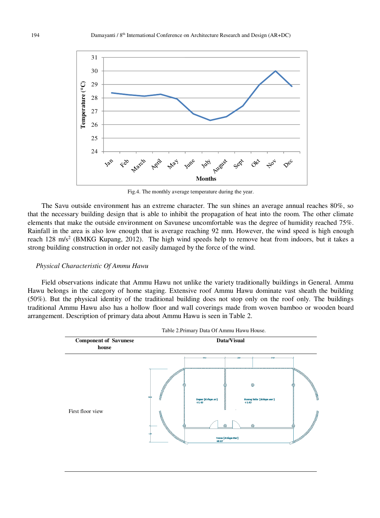

Fig.4. The monthly average temperature during the year.

The Savu outside environment has an extreme character. The sun shines an average annual reaches 80%, so that the necessary building design that is able to inhibit the propagation of heat into the room. The other climate elements that make the outside environment on Savunese uncomfortable was the degree of humidity reached 75%. Rainfall in the area is also low enough that is average reaching 92 mm. However, the wind speed is high enough reach 128 m/s<sup>2</sup> (BMKG Kupang, 2012). The high wind speeds help to remove heat from indoors, but it takes a strong building construction in order not easily damaged by the force of the wind.

### *Physical Characteristic Of Ammu Hawu*

Field observations indicate that Ammu Hawu not unlike the variety traditionally buildings in General. Ammu Hawu belongs in the category of home staging. Extensive roof Ammu Hawu dominate vast sheath the building (50%). But the physical identity of the traditional building does not stop only on the roof only. The buildings traditional Ammu Hawu also has a hollow floor and wall coverings made from woven bamboo or wooden board arrangement. Description of primary data about Ammu Hawu is seen in Table 2.



Table 2.Primary Data Of Ammu Hawu House.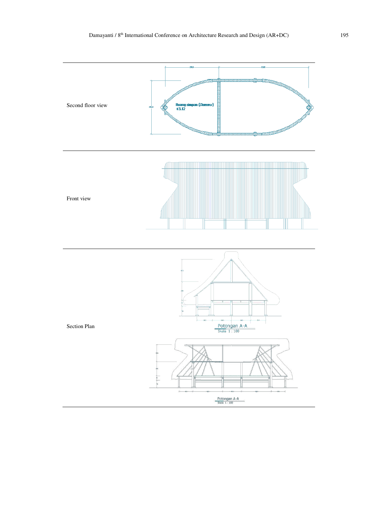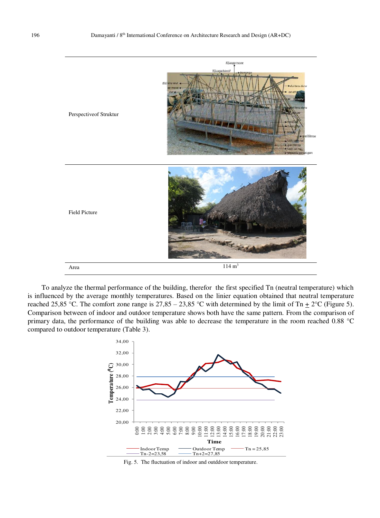

To analyze the thermal performance of the building, therefor the first specified Tn (neutral temperature) which is influenced by the average monthly temperatures. Based on the linier equation obtained that neutral temperature reached 25,85 °C. The comfort zone range is  $27,85 - 23,85$  °C with determined by the limit of Tn  $\pm$  2°C (Figure 5). Comparison between of indoor and outdoor temperature shows both have the same pattern. From the comparison of primary data, the performance of the building was able to decrease the temperature in the room reached 0.88 °C compared to outdoor temperature (Table 3).



Fig. 5. The fluctuation of indoor and outddoor temperature.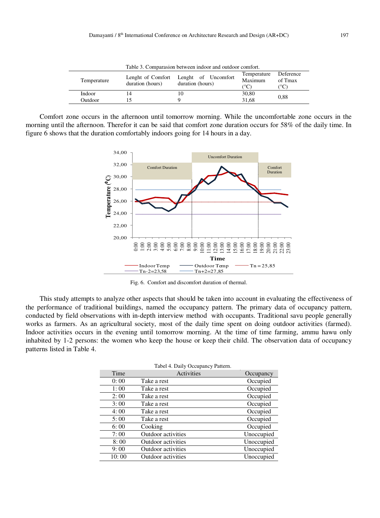| Table 5. Comparasion between indoor and outdoor comfort. |                                       |                                         |                                |                                       |  |
|----------------------------------------------------------|---------------------------------------|-----------------------------------------|--------------------------------|---------------------------------------|--|
| Temperature                                              | Lenght of Comfort<br>duration (hours) | Lenght of Uncomfort<br>duration (hours) | Temperature<br>Maximum<br>(°C) | Deference<br>of Tmax<br>$^{\circ}$ C) |  |
| Indoor                                                   | 14                                    |                                         | 30,80                          | 0.88                                  |  |
| Outdoor                                                  |                                       |                                         | 31.68                          |                                       |  |

Table 3. Comparasion between indoor and outdoor comfort.

Comfort zone occurs in the afternoon until tomorrow morning. While the uncomfortable zone occurs in the morning until the afternoon. Therefor it can be said that comfort zone duration occurs for 58% of the daily time. In figure 6 shows that the duration comfortably indoors going for 14 hours in a day.



Fig. 6. Comfort and discomfort duration of thermal.

This study attempts to analyze other aspects that should be taken into account in evaluating the effectiveness of the performance of traditional buildings, named the occupancy pattern. The primary data of occupancy pattern, conducted by field observations with in-depth interview method with occupants. Traditional savu people generally works as farmers. As an agricultural society, most of the daily time spent on doing outdoor activities (farmed). Indoor activities occurs in the evening until tomorrow morning. At the time of time farming, ammu hawu only inhabited by 1-2 persons: the women who keep the house or keep their child. The observation data of occupancy patterns listed in Table 4.

|       | Tabel 4. Daily Occupancy Pattern. |            |
|-------|-----------------------------------|------------|
| Time  | Activities                        | Occupancy  |
| 0:00  | Take a rest                       | Occupied   |
| 1:00  | Take a rest                       | Occupied   |
| 2:00  | Take a rest                       | Occupied   |
| 3:00  | Take a rest                       | Occupied   |
| 4:00  | Take a rest                       | Occupied   |
| 5:00  | Take a rest                       | Occupied   |
| 6:00  | Cooking                           | Occupied   |
| 7:00  | Outdoor activities                | Unoccupied |
| 8:00  | Outdoor activities                | Unoccupied |
| 9:00  | Outdoor activities                | Unoccupied |
| 10:00 | Outdoor activities                | Unoccupied |

Tabel 4. Daily Occupancy Pattern.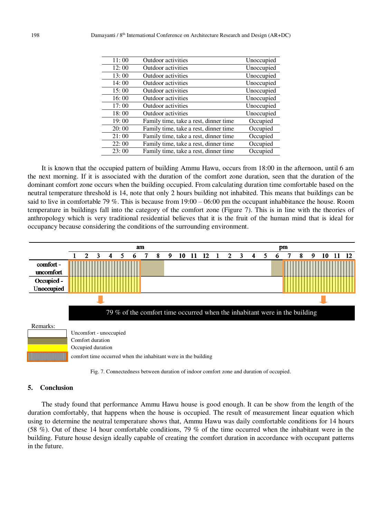| 11:00 | Outdoor activities                    | Unoccupied |
|-------|---------------------------------------|------------|
| 12:00 | Outdoor activities                    | Unoccupied |
| 13:00 | Outdoor activities                    | Unoccupied |
| 14:00 | Outdoor activities                    | Unoccupied |
| 15:00 | Outdoor activities                    | Unoccupied |
| 16:00 | Outdoor activities                    | Unoccupied |
| 17:00 | Outdoor activities                    | Unoccupied |
| 18:00 | Outdoor activities                    | Unoccupied |
| 19:00 | Family time, take a rest, dinner time | Occupied   |
| 20:00 | Family time, take a rest, dinner time | Occupied   |
| 21:00 | Family time, take a rest, dinner time | Occupied   |
| 22:00 | Family time, take a rest, dinner time | Occupied   |
| 23:00 | Family time, take a rest, dinner time | Occupied   |

It is known that the occupied pattern of building Ammu Hawu, occurs from 18:00 in the afternoon, until 6 am the next morning. If it is associated with the duration of the comfort zone duration, seen that the duration of the dominant comfort zone occurs when the building occupied. From calculating duration time comfortable based on the neutral temperature threshold is 14, note that only 2 hours building not inhabited. This means that buildings can be said to live in comfortable 79 %. This is because from 19:00 – 06:00 pm the occupant inhabbitance the house. Room temperature in buildings fall into the category of the comfort zone (Figure 7). This is in line with the theories of anthropology which is very traditional residential believes that it is the fruit of the human mind that is ideal for occupancy because considering the conditions of the surrounding environment.





# **5. Conclusion**

The study found that performance Ammu Hawu house is good enough. It can be show from the length of the duration comfortably, that happens when the house is occupied. The result of measurement linear equation which using to determine the neutral temperature shows that, Ammu Hawu was daily comfortable conditions for 14 hours (58 %). Out of these 14 hour comfortable conditions, 79 % of the time occurred when the inhabitant were in the building. Future house design ideally capable of creating the comfort duration in accordance with occupant patterns in the future.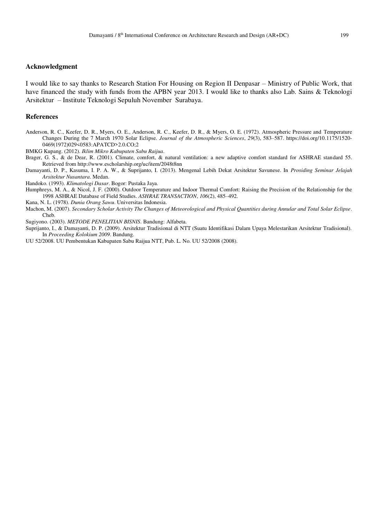### **Acknowledgment**

I would like to say thanks to Research Station For Housing on Region II Denpasar – Ministry of Public Work, that have financed the study with funds from the APBN year 2013. I would like to thanks also Lab. Sains & Teknologi Arsitektur – Institute Teknologi Sepuluh November Surabaya.

### **References**

Anderson, R. C., Keefer, D. R., Myers, O. E., Anderson, R. C., Keefer, D. R., & Myers, O. E. (1972). Atmospheric Pressure and Temperature Changes During the 7 March 1970 Solar Eclipse. *Journal of the Atmospheric Sciences*, *29*(3), 583–587. https://doi.org/10.1175/1520- 0469(1972)029<0583:APATCD>2.0.CO;2

BMKG Kupang. (2012). *Iklim Mikro Kabupaten Sabu Raijua*.

- Brager, G. S., & de Dear, R. (2001). Climate, comfort, & natural ventilation: a new adaptive comfort standard for ASHRAE standard 55. Retrieved from http://www.escholarship.org/uc/item/2048t8nn
- Damayanti, D. P., Kasuma, I. P. A. W., & Suprijanto, I. (2013). Mengenal Lebih Dekat Arsitektur Savunese. In *Prosiding Seminar Jelajah Arsitektur Nusantara*. Medan.

Handoko. (1993). *Klimatologi Dasar*. Bogor: Pustaka Jaya.

Humphreys, M. A., & Nicol, J. F. (2000). Outdoor Temperature and Indoor Thermal Comfort: Raising the Precision of the Relationship for the 1998 ASHRAE Database of Field Studies. *ASHRAE TRANSACTION*, *106*(2), 485–492.

Kana, N. L. (1978). *Dunia Orang Sawu*. Universitas Indonesia.

Machon, M. (2007). *Secondary Scholar Activity The Changes of Meteorological and Physical Quantities during Annular and Total Solar Eclipse*. Cheb.

Sugiyono. (2003). *METODE PENELITIAN BISNIS*. Bandung: Alfabeta.

Suprijanto, I., & Damayanti, D. P. (2009). Arsitektur Tradisional di NTT (Suatu Identifikasi Dalam Upaya Melestarikan Arsitektur Tradisional). In *Proceeding Kolokium 2009*. Bandung.

UU 52/2008. UU Pembentukan Kabupaten Sabu Raijua NTT, Pub. L. No. UU 52/2008 (2008).